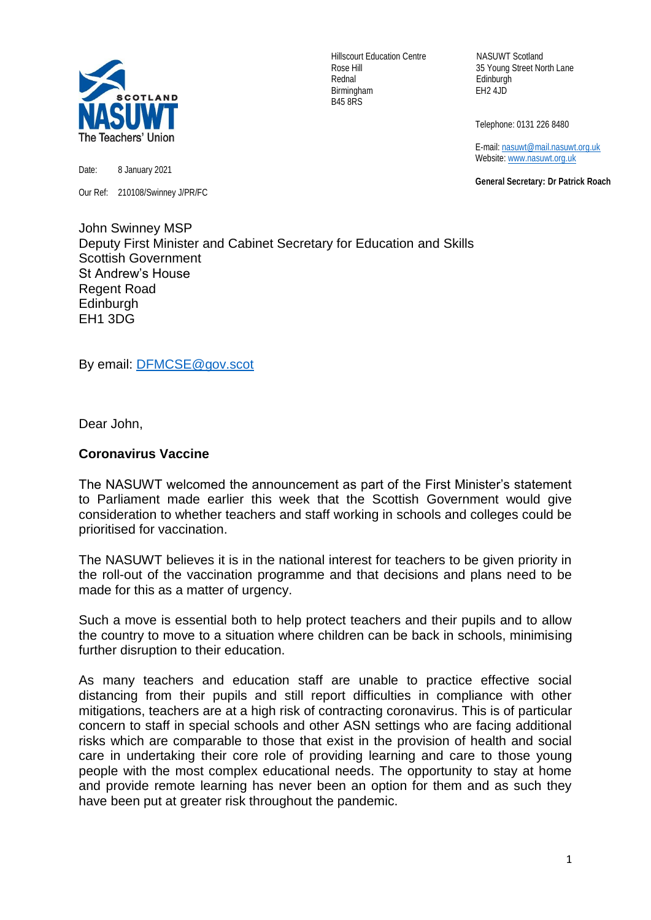

Rednal Edinburgh Birmingham EH2 4JD B45 8RS

Hillscourt Education Centre NASUWT Scotland Rose Hill 35 Young Street North Lane

Telephone: 0131 226 8480

 E-mail[: nasuwt@mail.nasuwt.org.uk](mailto:nasuwt@mail.nasuwt.org.uk) Website: [www.nasuwt.org.uk](http://www.nasuwt.org.uk/)

 **General Secretary: Dr Patrick Roach**

Date: 8 January 2021

Our Ref: 210108/Swinney J/PR/FC

John Swinney MSP Deputy First Minister and Cabinet Secretary for Education and Skills Scottish Government St Andrew's House Regent Road **Edinburgh** EH1 3DG

By email: [DFMCSE@gov.scot](mailto:DFMCSE@gov.scot)

Dear John,

## **Coronavirus Vaccine**

The NASUWT welcomed the announcement as part of the First Minister's statement to Parliament made earlier this week that the Scottish Government would give consideration to whether teachers and staff working in schools and colleges could be prioritised for vaccination.

The NASUWT believes it is in the national interest for teachers to be given priority in the roll-out of the vaccination programme and that decisions and plans need to be made for this as a matter of urgency.

Such a move is essential both to help protect teachers and their pupils and to allow the country to move to a situation where children can be back in schools, minimising further disruption to their education.

As many teachers and education staff are unable to practice effective social distancing from their pupils and still report difficulties in compliance with other mitigations, teachers are at a high risk of contracting coronavirus. This is of particular concern to staff in special schools and other ASN settings who are facing additional risks which are comparable to those that exist in the provision of health and social care in undertaking their core role of providing learning and care to those young people with the most complex educational needs. The opportunity to stay at home and provide remote learning has never been an option for them and as such they have been put at greater risk throughout the pandemic.